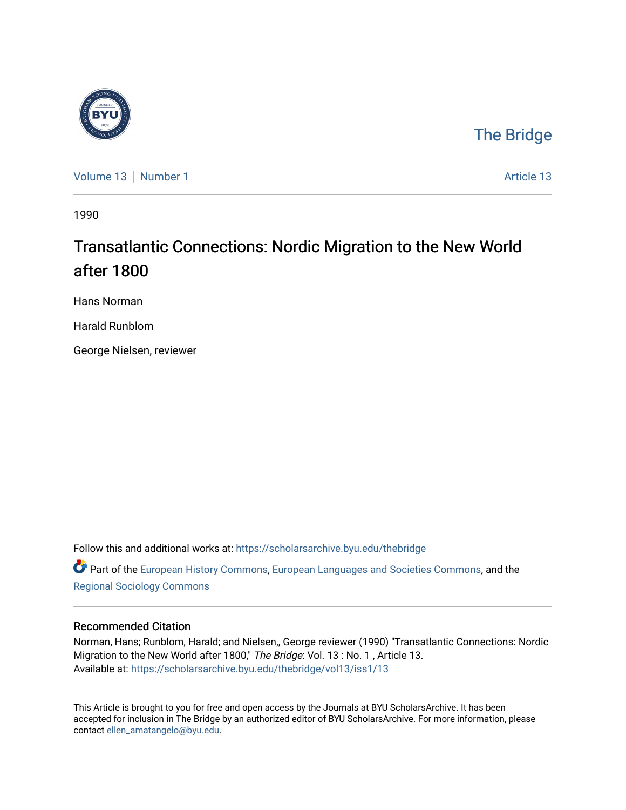

## [The Bridge](https://scholarsarchive.byu.edu/thebridge)

[Volume 13](https://scholarsarchive.byu.edu/thebridge/vol13) [Number 1](https://scholarsarchive.byu.edu/thebridge/vol13/iss1) [Article 13](https://scholarsarchive.byu.edu/thebridge/vol13/iss1/13) Number 1 Article 13

1990

## Transatlantic Connections: Nordic Migration to the New World after 1800

Hans Norman

Harald Runblom

George Nielsen, reviewer

Follow this and additional works at: [https://scholarsarchive.byu.edu/thebridge](https://scholarsarchive.byu.edu/thebridge?utm_source=scholarsarchive.byu.edu%2Fthebridge%2Fvol13%2Fiss1%2F13&utm_medium=PDF&utm_campaign=PDFCoverPages)  **C** Part of the [European History Commons](http://network.bepress.com/hgg/discipline/492?utm_source=scholarsarchive.byu.edu%2Fthebridge%2Fvol13%2Fiss1%2F13&utm_medium=PDF&utm_campaign=PDFCoverPages), [European Languages and Societies Commons,](http://network.bepress.com/hgg/discipline/482?utm_source=scholarsarchive.byu.edu%2Fthebridge%2Fvol13%2Fiss1%2F13&utm_medium=PDF&utm_campaign=PDFCoverPages) and the [Regional Sociology Commons](http://network.bepress.com/hgg/discipline/427?utm_source=scholarsarchive.byu.edu%2Fthebridge%2Fvol13%2Fiss1%2F13&utm_medium=PDF&utm_campaign=PDFCoverPages) 

## Recommended Citation

Norman, Hans; Runblom, Harald; and Nielsen,, George reviewer (1990) "Transatlantic Connections: Nordic Migration to the New World after 1800," The Bridge: Vol. 13 : No. 1 , Article 13. Available at: [https://scholarsarchive.byu.edu/thebridge/vol13/iss1/13](https://scholarsarchive.byu.edu/thebridge/vol13/iss1/13?utm_source=scholarsarchive.byu.edu%2Fthebridge%2Fvol13%2Fiss1%2F13&utm_medium=PDF&utm_campaign=PDFCoverPages)

This Article is brought to you for free and open access by the Journals at BYU ScholarsArchive. It has been accepted for inclusion in The Bridge by an authorized editor of BYU ScholarsArchive. For more information, please contact [ellen\\_amatangelo@byu.edu.](mailto:ellen_amatangelo@byu.edu)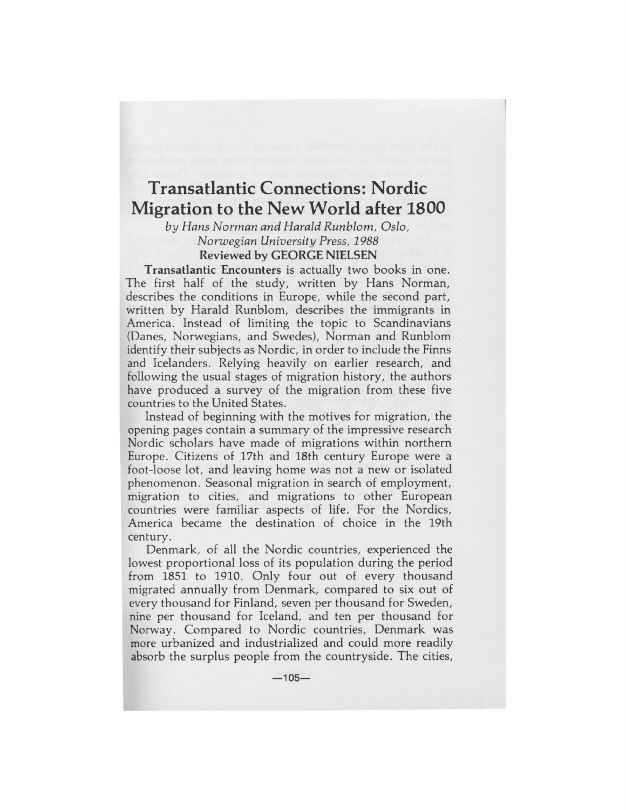## **Transatlantic Connections: Nordic Migration to the New World after 1800**

*by Hans Norman and Harald Runblom, Oslo, Non.vegian University Press, 1988*  **Reviewed by GEORGE NIELSEN** 

**Transatlantic Encounters** is actually two books in one. The first half of the study, written by Hans Norman, describes the conditions in Europe, while the second part, written by Harald Runblom, describes the immigrants in America. Instead of limiting the topic to Scandinavians (Danes, Norwegians, and Swedes), Norman and Runblom identify their subjects as Nordic, in order to include the Finns and Icelanders. Relying heavily on earlier research, and following the usual stages of migration history, the authors have produced a survey of the migration from these five countries to the United States.

Instead of beginning with the motives for migration, the opening pages contain a summary of the impressive research Nordic scholars have made of migrations within northern Europe. Citizens of 17th and 18th century Europe were a foot-loose lot, and leaving home was not a new or isolated phenomenon. Seasonal migration in search of employment, migration to cities, and migrations to other European countries were familiar aspects of life. For the Nordics, America became the destination of choice in the 19th century.

Denmark, of all the Nordic countries, experienced the lowest proportional loss of its population during the period from 1851 to 1910. Only four out of every thousand migrated annually from Denmark, compared to six out of every thousand for Finland, seven per thousand for Sweden, nine per thousand for Iceland, and ten per thousand for Norway. Compared to Nordic countries, Denmark was more urbanized and industrialized and could more readily absorb the surplus people from the countryside. The cities,

**-105-**